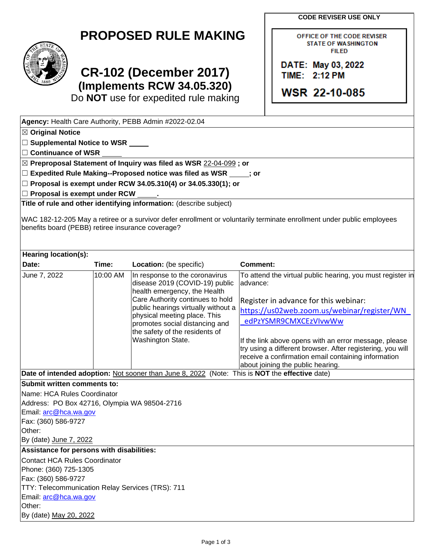**CODE REVISER USE ONLY**

OFFICE OF THE CODE REVISER **STATE OF WASHINGTON FILED** 

DATE: May 03, 2022 **TIME: 2:12 PM** 

**WSR 22-10-085** 

## **PROPOSED RULE MAKING**



## **CR-102 (December 2017) (Implements RCW 34.05.320)**

Do **NOT** use for expedited rule making

| Agency: Health Care Authority, PEBB Admin #2022-02.04                                                                                                                       |          |                                                                |                                                            |  |  |  |  |
|-----------------------------------------------------------------------------------------------------------------------------------------------------------------------------|----------|----------------------------------------------------------------|------------------------------------------------------------|--|--|--|--|
| $\boxtimes$ Original Notice                                                                                                                                                 |          |                                                                |                                                            |  |  |  |  |
| □ Supplemental Notice to WSR _____                                                                                                                                          |          |                                                                |                                                            |  |  |  |  |
| $\square$ Continuance of WSR                                                                                                                                                |          |                                                                |                                                            |  |  |  |  |
| ⊠ Preproposal Statement of Inquiry was filed as WSR 22-04-099; or                                                                                                           |          |                                                                |                                                            |  |  |  |  |
| $\square$ Expedited Rule Making--Proposed notice was filed as WSR $\rule{1em}{0.15mm}$ j or                                                                                 |          |                                                                |                                                            |  |  |  |  |
| □ Proposal is exempt under RCW 34.05.310(4) or 34.05.330(1); or                                                                                                             |          |                                                                |                                                            |  |  |  |  |
| $\Box$ Proposal is exempt under RCW                                                                                                                                         |          |                                                                |                                                            |  |  |  |  |
| Title of rule and other identifying information: (describe subject)                                                                                                         |          |                                                                |                                                            |  |  |  |  |
| WAC 182-12-205 May a retiree or a survivor defer enrollment or voluntarily terminate enrollment under public employees<br>benefits board (PEBB) retiree insurance coverage? |          |                                                                |                                                            |  |  |  |  |
| Hearing location(s):                                                                                                                                                        |          |                                                                |                                                            |  |  |  |  |
| Date:                                                                                                                                                                       | Time:    | Location: (be specific)                                        | <b>Comment:</b>                                            |  |  |  |  |
| June 7, 2022                                                                                                                                                                | 10:00 AM | In response to the coronavirus                                 | To attend the virtual public hearing, you must register in |  |  |  |  |
|                                                                                                                                                                             |          | disease 2019 (COVID-19) public<br>health emergency, the Health | advance:                                                   |  |  |  |  |
|                                                                                                                                                                             |          | Care Authority continues to hold                               | Register in advance for this webinar:                      |  |  |  |  |
|                                                                                                                                                                             |          | public hearings virtually without a                            | https://us02web.zoom.us/webinar/register/WN                |  |  |  |  |
|                                                                                                                                                                             |          | physical meeting place. This                                   | edPzYSMR9CMXCEzVIvwWw                                      |  |  |  |  |
|                                                                                                                                                                             |          | promotes social distancing and                                 |                                                            |  |  |  |  |
|                                                                                                                                                                             |          | the safety of the residents of<br>Washington State.            | If the link above opens with an error message, please      |  |  |  |  |
|                                                                                                                                                                             |          |                                                                | try using a different browser. After registering, you will |  |  |  |  |
|                                                                                                                                                                             |          |                                                                | receive a confirmation email containing information        |  |  |  |  |
|                                                                                                                                                                             |          |                                                                | about joining the public hearing.                          |  |  |  |  |
| Date of intended adoption: Not sooner than June 8, 2022 (Note: This is NOT the effective date)                                                                              |          |                                                                |                                                            |  |  |  |  |
| Submit written comments to:                                                                                                                                                 |          |                                                                |                                                            |  |  |  |  |
| Name: HCA Rules Coordinator                                                                                                                                                 |          |                                                                |                                                            |  |  |  |  |
| Address: PO Box 42716, Olympia WA 98504-2716                                                                                                                                |          |                                                                |                                                            |  |  |  |  |
| Email: arc@hca.wa.gov                                                                                                                                                       |          |                                                                |                                                            |  |  |  |  |
| Fax: (360) 586-9727                                                                                                                                                         |          |                                                                |                                                            |  |  |  |  |
| Other:                                                                                                                                                                      |          |                                                                |                                                            |  |  |  |  |
| By (date) June 7, 2022                                                                                                                                                      |          |                                                                |                                                            |  |  |  |  |
| Assistance for persons with disabilities:                                                                                                                                   |          |                                                                |                                                            |  |  |  |  |
| <b>Contact HCA Rules Coordinator</b>                                                                                                                                        |          |                                                                |                                                            |  |  |  |  |
| Phone: (360) 725-1305                                                                                                                                                       |          |                                                                |                                                            |  |  |  |  |
| Fax: (360) 586-9727                                                                                                                                                         |          |                                                                |                                                            |  |  |  |  |
| TTY: Telecommunication Relay Services (TRS): 711                                                                                                                            |          |                                                                |                                                            |  |  |  |  |
| Email: arc@hca.wa.gov<br>Other:                                                                                                                                             |          |                                                                |                                                            |  |  |  |  |
|                                                                                                                                                                             |          |                                                                |                                                            |  |  |  |  |
| By (date) May 20, 2022                                                                                                                                                      |          |                                                                |                                                            |  |  |  |  |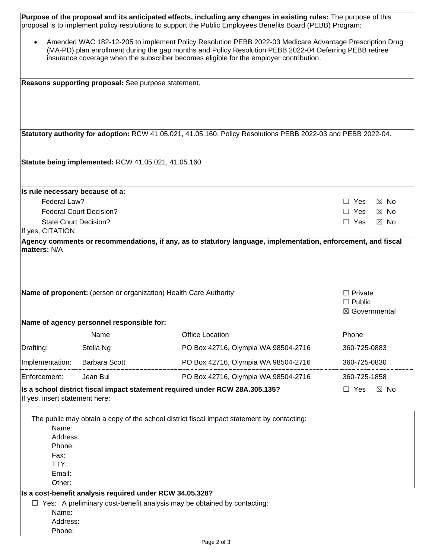| Purpose of the proposal and its anticipated effects, including any changes in existing rules: The purpose of this<br>proposal is to implement policy resolutions to support the Public Employees Benefits Board (PEBB) Program:                                                                                           |                                                     |                                                                                                               |                                                              |  |  |  |
|---------------------------------------------------------------------------------------------------------------------------------------------------------------------------------------------------------------------------------------------------------------------------------------------------------------------------|-----------------------------------------------------|---------------------------------------------------------------------------------------------------------------|--------------------------------------------------------------|--|--|--|
| Amended WAC 182-12-205 to implement Policy Resolution PEBB 2022-03 Medicare Advantage Prescription Drug<br>$\bullet$<br>(MA-PD) plan enrollment during the gap months and Policy Resolution PEBB 2022-04 Deferring PEBB retiree<br>insurance coverage when the subscriber becomes eligible for the employer contribution. |                                                     |                                                                                                               |                                                              |  |  |  |
|                                                                                                                                                                                                                                                                                                                           | Reasons supporting proposal: See purpose statement. |                                                                                                               |                                                              |  |  |  |
|                                                                                                                                                                                                                                                                                                                           |                                                     |                                                                                                               |                                                              |  |  |  |
|                                                                                                                                                                                                                                                                                                                           |                                                     | Statutory authority for adoption: RCW 41.05.021, 41.05.160, Policy Resolutions PEBB 2022-03 and PEBB 2022-04. |                                                              |  |  |  |
|                                                                                                                                                                                                                                                                                                                           | Statute being implemented: RCW 41.05.021, 41.05.160 |                                                                                                               |                                                              |  |  |  |
| Is rule necessary because of a:                                                                                                                                                                                                                                                                                           |                                                     |                                                                                                               |                                                              |  |  |  |
| Federal Law?                                                                                                                                                                                                                                                                                                              |                                                     |                                                                                                               | $\Box$ Yes<br>$\boxtimes$ No                                 |  |  |  |
| <b>State Court Decision?</b>                                                                                                                                                                                                                                                                                              | <b>Federal Court Decision?</b>                      |                                                                                                               | $\Box$ Yes<br>$\boxtimes$ No<br>$\boxtimes$ No<br>$\Box$ Yes |  |  |  |
| If yes, CITATION:                                                                                                                                                                                                                                                                                                         |                                                     |                                                                                                               |                                                              |  |  |  |
|                                                                                                                                                                                                                                                                                                                           |                                                     | Name of proponent: (person or organization) Health Care Authority                                             | $\Box$ Private<br>$\Box$ Public                              |  |  |  |
|                                                                                                                                                                                                                                                                                                                           |                                                     |                                                                                                               | $\boxtimes$ Governmental                                     |  |  |  |
|                                                                                                                                                                                                                                                                                                                           | Name of agency personnel responsible for:           |                                                                                                               |                                                              |  |  |  |
|                                                                                                                                                                                                                                                                                                                           | Name                                                | <b>Office Location</b>                                                                                        | Phone                                                        |  |  |  |
| Drafting:                                                                                                                                                                                                                                                                                                                 | Stella Ng                                           | PO Box 42716, Olympia WA 98504-2716                                                                           | 360-725-0883                                                 |  |  |  |
| Implementation:                                                                                                                                                                                                                                                                                                           | <b>Barbara Scott</b>                                | PO Box 42716, Olympia WA 98504-2716                                                                           | 360-725-0830                                                 |  |  |  |
| Enforcement:                                                                                                                                                                                                                                                                                                              | Jean Bui                                            | PO Box 42716, Olympia WA 98504-2716                                                                           | 360-725-1858                                                 |  |  |  |
| Is a school district fiscal impact statement required under RCW 28A.305.135?<br>$\Box$ Yes<br>$\boxtimes$ No<br>If yes, insert statement here:                                                                                                                                                                            |                                                     |                                                                                                               |                                                              |  |  |  |
| Name:<br>Address:                                                                                                                                                                                                                                                                                                         |                                                     | The public may obtain a copy of the school district fiscal impact statement by contacting:                    |                                                              |  |  |  |
| Phone:                                                                                                                                                                                                                                                                                                                    |                                                     |                                                                                                               |                                                              |  |  |  |
| Fax:                                                                                                                                                                                                                                                                                                                      |                                                     |                                                                                                               |                                                              |  |  |  |
| TTY:<br>Email:                                                                                                                                                                                                                                                                                                            |                                                     |                                                                                                               |                                                              |  |  |  |
| Other:                                                                                                                                                                                                                                                                                                                    |                                                     |                                                                                                               |                                                              |  |  |  |
| Is a cost-benefit analysis required under RCW 34.05.328?                                                                                                                                                                                                                                                                  |                                                     |                                                                                                               |                                                              |  |  |  |
| $\Box$ Yes: A preliminary cost-benefit analysis may be obtained by contacting:                                                                                                                                                                                                                                            |                                                     |                                                                                                               |                                                              |  |  |  |
| Name:                                                                                                                                                                                                                                                                                                                     |                                                     |                                                                                                               |                                                              |  |  |  |
| Address:                                                                                                                                                                                                                                                                                                                  |                                                     |                                                                                                               |                                                              |  |  |  |
| Phone:                                                                                                                                                                                                                                                                                                                    |                                                     |                                                                                                               |                                                              |  |  |  |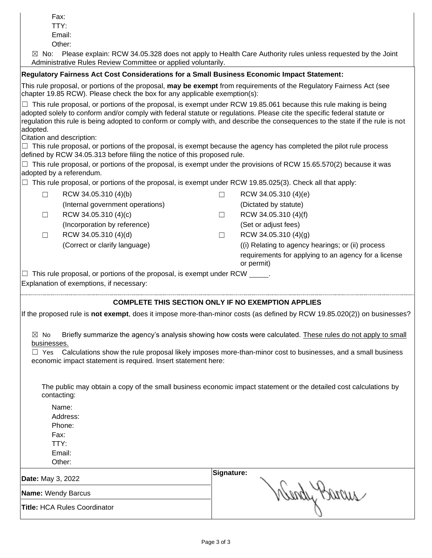TTY:

Email:

Other:

 $\boxtimes$  No: Please explain: RCW 34.05.328 does not apply to Health Care Authority rules unless requested by the Joint Administrative Rules Review Committee or applied voluntarily.

## **Regulatory Fairness Act Cost Considerations for a Small Business Economic Impact Statement:**

This rule proposal, or portions of the proposal, **may be exempt** from requirements of the Regulatory Fairness Act (see chapter 19.85 RCW). Please check the box for any applicable exemption(s):

 $\Box$  This rule proposal, or portions of the proposal, is exempt under RCW 19.85.061 because this rule making is being adopted solely to conform and/or comply with federal statute or regulations. Please cite the specific federal statute or regulation this rule is being adopted to conform or comply with, and describe the consequences to the state if the rule is not adopted.

Citation and description:

 $\Box$  This rule proposal, or portions of the proposal, is exempt because the agency has completed the pilot rule process defined by RCW 34.05.313 before filing the notice of this proposed rule.

 $\Box$  This rule proposal, or portions of the proposal, is exempt under the provisions of RCW 15.65.570(2) because it was adopted by a referendum.

 $\Box$  This rule proposal, or portions of the proposal, is exempt under RCW 19.85.025(3). Check all that apply:

| RCW 34.05.310 (4)(b)             | RCW 34.05.310 (4)(e)                                               |
|----------------------------------|--------------------------------------------------------------------|
| (Internal government operations) | (Dictated by statute)                                              |
| RCW 34.05.310 (4)(c)             | RCW 34.05.310 (4)(f)                                               |
| (Incorporation by reference)     | (Set or adjust fees)                                               |
| RCW 34.05.310 (4)(d)             | RCW 34.05.310 (4)(g)                                               |
| (Correct or clarify language)    | (i) Relating to agency hearings; or (ii) process                   |
|                                  | requirements for applying to an agency for a license<br>or permit) |

 $\Box$  This rule proposal, or portions of the proposal, is exempt under RCW

Explanation of exemptions, if necessary:

## **COMPLETE THIS SECTION ONLY IF NO EXEMPTION APPLIES**

If the proposed rule is **not exempt**, does it impose more-than-minor costs (as defined by RCW 19.85.020(2)) on businesses?

 $\boxtimes$  No Briefly summarize the agency's analysis showing how costs were calculated. These rules do not apply to small businesses.

 $\Box$  Yes Calculations show the rule proposal likely imposes more-than-minor cost to businesses, and a small business economic impact statement is required. Insert statement here:

The public may obtain a copy of the small business economic impact statement or the detailed cost calculations by contacting:

Name: Address: Phone: Fax: TTY: Email: Other:

| <b>Date:</b> May 3, 2022            | Signature:     |
|-------------------------------------|----------------|
| <b>Name: Wendy Barcus</b>           | would<br>VUUNU |
| <b>Title: HCA Rules Coordinator</b> |                |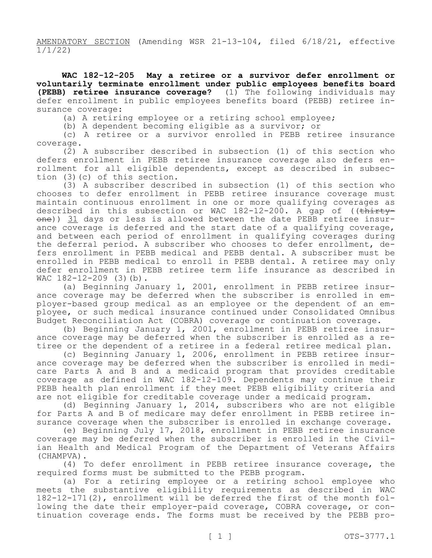AMENDATORY SECTION (Amending WSR 21-13-104, filed 6/18/21, effective 1/1/22)

**WAC 182-12-205 May a retiree or a survivor defer enrollment or voluntarily terminate enrollment under public employees benefits board (PEBB) retiree insurance coverage?** (1) The following individuals may defer enrollment in public employees benefits board (PEBB) retiree insurance coverage:

(a) A retiring employee or a retiring school employee;

(b) A dependent becoming eligible as a survivor; or

(c) A retiree or a survivor enrolled in PEBB retiree insurance coverage.

(2) A subscriber described in subsection (1) of this section who defers enrollment in PEBB retiree insurance coverage also defers enrollment for all eligible dependents, except as described in subsection (3)(c) of this section.

(3) A subscriber described in subsection (1) of this section who chooses to defer enrollment in PEBB retiree insurance coverage must maintain continuous enrollment in one or more qualifying coverages as described in this subsection or WAC  $182-12-200$ . A gap of ((thirtyone)) 31 days or less is allowed between the date PEBB retiree insurance coverage is deferred and the start date of a qualifying coverage, and between each period of enrollment in qualifying coverages during the deferral period. A subscriber who chooses to defer enrollment, defers enrollment in PEBB medical and PEBB dental. A subscriber must be enrolled in PEBB medical to enroll in PEBB dental. A retiree may only defer enrollment in PEBB retiree term life insurance as described in WAC 182-12-209 (3)(b).

(a) Beginning January 1, 2001, enrollment in PEBB retiree insurance coverage may be deferred when the subscriber is enrolled in employer-based group medical as an employee or the dependent of an employee, or such medical insurance continued under Consolidated Omnibus Budget Reconciliation Act (COBRA) coverage or continuation coverage.

(b) Beginning January 1, 2001, enrollment in PEBB retiree insurance coverage may be deferred when the subscriber is enrolled as a retiree or the dependent of a retiree in a federal retiree medical plan.

(c) Beginning January 1, 2006, enrollment in PEBB retiree insurance coverage may be deferred when the subscriber is enrolled in medicare Parts A and B and a medicaid program that provides creditable coverage as defined in WAC 182-12-109. Dependents may continue their PEBB health plan enrollment if they meet PEBB eligibility criteria and are not eligible for creditable coverage under a medicaid program.

(d) Beginning January 1, 2014, subscribers who are not eligible for Parts A and B of medicare may defer enrollment in PEBB retiree insurance coverage when the subscriber is enrolled in exchange coverage.

(e) Beginning July 17, 2018, enrollment in PEBB retiree insurance coverage may be deferred when the subscriber is enrolled in the Civilian Health and Medical Program of the Department of Veterans Affairs (CHAMPVA).

(4) To defer enrollment in PEBB retiree insurance coverage, the required forms must be submitted to the PEBB program.

(a) For a retiring employee or a retiring school employee who meets the substantive eligibility requirements as described in WAC 182-12-171(2), enrollment will be deferred the first of the month following the date their employer-paid coverage, COBRA coverage, or continuation coverage ends. The forms must be received by the PEBB pro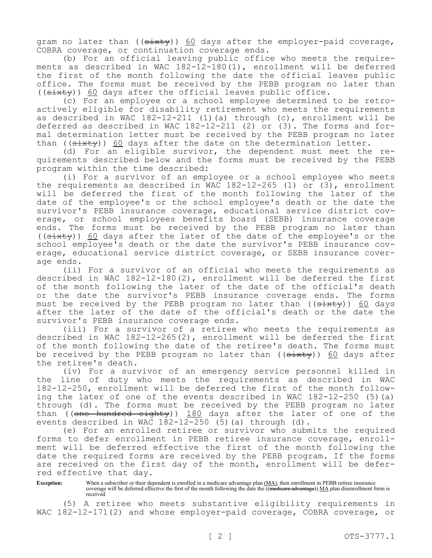gram no later than (( $\frac{1}{3}$ ) 60 days after the employer-paid coverage, COBRA coverage, or continuation coverage ends.

(b) For an official leaving public office who meets the requirements as described in WAC 182-12-180(1), enrollment will be deferred the first of the month following the date the official leaves public office. The forms must be received by the PEBB program no later than  $((s$ ixty)) 60 days after the official leaves public office.

(c) For an employee or a school employee determined to be retroactively eligible for disability retirement who meets the requirements as described in WAC  $182-12-211$  (1)(a) through (c), enrollment will be deferred as described in WAC 182-12-211 (2) or  $(3)$ . The forms and formal determination letter must be received by the PEBB program no later than ( $(s$ ixty)) 60 days after the date on the determination letter.

(d) For an eligible survivor, the dependent must meet the requirements described below and the forms must be received by the PEBB program within the time described:

(i) For a survivor of an employee or a school employee who meets the requirements as described in WAC  $182-12-265$  (1) or (3), enrollment will be deferred the first of the month following the later of the date of the employee's or the school employee's death or the date the survivor's PEBB insurance coverage, educational service district coverage, or school employees benefits board (SEBB) insurance coverage ends. The forms must be received by the PEBB program no later than  $((s$ ixty)) 60 days after the later of the date of the employee's or the school employee's death or the date the survivor's PEBB insurance coverage, educational service district coverage, or SEBB insurance coverage ends.

(ii) For a survivor of an official who meets the requirements as described in WAC 182-12-180(2), enrollment will be deferred the first of the month following the later of the date of the official's death or the date the survivor's PEBB insurance coverage ends. The forms must be received by the PEBB program no later than ((sixty)) 60 days after the later of the date of the official's death or the date the survivor's PEBB insurance coverage ends.

(iii) For a survivor of a retiree who meets the requirements as described in WAC 182-12-265(2), enrollment will be deferred the first of the month following the date of the retiree's death. The forms must be received by the PEBB program no later than  $((\text{sixty}))$  60 days after the retiree's death.

(iv) For a survivor of an emergency service personnel killed in the line of duty who meets the requirements as described in WAC 182-12-250, enrollment will be deferred the first of the month following the later of one of the events described in WAC 182-12-250 (5)(a) through (d). The forms must be received by the PEBB program no later than ((one hundred eighty)) 180 days after the later of one of the events described in WAC 182-12-250 (5)(a) through (d).

(e) For an enrolled retiree or survivor who submits the required forms to defer enrollment in PEBB retiree insurance coverage, enrollment will be deferred effective the first of the month following the date the required forms are received by the PEBB program. If the forms are received on the first day of the month, enrollment will be deferred effective that day.

**Exception:** When a subscriber or their dependent is enrolled in a medicare advantage plan  $(MA)$ , then enrollment in PEBB retiree insurance coverage will be deferred effective the first of the month following the date the ((medicare advantage)) MA plan disenrollment form is received.

(5) A retiree who meets substantive eligibility requirements in WAC 182-12-171(2) and whose employer-paid coverage, COBRA coverage, or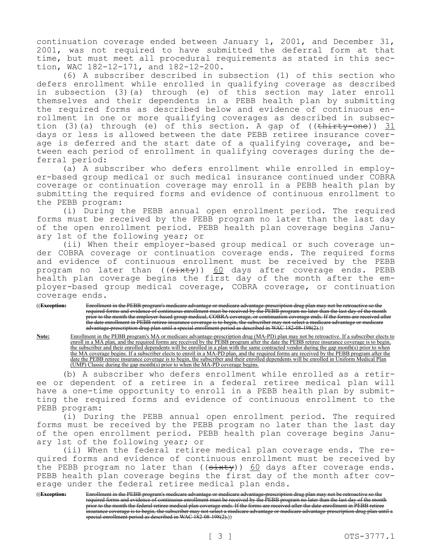continuation coverage ended between January 1, 2001, and December 31, 2001, was not required to have submitted the deferral form at that time, but must meet all procedural requirements as stated in this section, WAC 182-12-171, and 182-12-200.

(6) A subscriber described in subsection (1) of this section who defers enrollment while enrolled in qualifying coverage as described in subsection (3)(a) through (e) of this section may later enroll themselves and their dependents in a PEBB health plan by submitting the required forms as described below and evidence of continuous enrollment in one or more qualifying coverages as described in subsection (3)(a) through (e) of this section. A gap of (( $\text{thirty-one}$ )) 31 days or less is allowed between the date PEBB retiree insurance coverage is deferred and the start date of a qualifying coverage, and between each period of enrollment in qualifying coverages during the deferral period:

(a) A subscriber who defers enrollment while enrolled in employer-based group medical or such medical insurance continued under COBRA coverage or continuation coverage may enroll in a PEBB health plan by submitting the required forms and evidence of continuous enrollment to the PEBB program:

(i) During the PEBB annual open enrollment period. The required forms must be received by the PEBB program no later than the last day of the open enrollment period. PEBB health plan coverage begins January 1st of the following year; or

(ii) When their employer-based group medical or such coverage under COBRA coverage or continuation coverage ends. The required forms and evidence of continuous enrollment must be received by the PEBB program no later than  $((\text{si} \star \text{t} + \text{v})$ ) 60 days after coverage ends. PEBB health plan coverage begins the first day of the month after the employer-based group medical coverage, COBRA coverage, or continuation coverage ends.

((**Exception:** Enrollment in the PEBB program's medicare advantage or medicare advantage-prescription drug plan may not be retroactive so the required forms and evidence of continuous enrollment must be received by the PEBB program no later than the last day of the month prior to the month the employer-based group medical, COBRA coverage, or continuation coverage ends. If the forms are received after the date enrollment in PEBB retiree insurance coverage is to begin, the subscriber may not select a medicare advantage or medicare advantage-prescription drug plan until a special enrollment period as described in WAC 182-08-198(2).))

**Note:** Enrollment in the PEBB program's MA or medicare advantage-prescription drug (MA-PD) plan may not be retroactive. If a subscriber elects to enroll in a MA plan, and the required forms are received by the PEBB program after the date the PEBB retiree insurance coverage is to begin, the subscriber and their enrolled dependents will be enrolled in a plan with the same contracted vendor during the gap month(s) prior to when the MA coverage begins. If a subscriber elects to enroll in a MA-PD plan, and the required forms are received by the PEBB program after the date the PEBB retiree insurance coverage is to begin, the subscriber and their enrolled dependents will be enrolled in Uniform Medical Plan (UMP) Classic during the gap month(s) prior to when the MA-PD coverage begins.

(b) A subscriber who defers enrollment while enrolled as a retiree or dependent of a retiree in a federal retiree medical plan will have a one-time opportunity to enroll in a PEBB health plan by submitting the required forms and evidence of continuous enrollment to the PEBB program:

(i) During the PEBB annual open enrollment period. The required forms must be received by the PEBB program no later than the last day of the open enrollment period. PEBB health plan coverage begins January 1st of the following year; or

(ii) When the federal retiree medical plan coverage ends. The required forms and evidence of continuous enrollment must be received by the PEBB program no later than  $($   $(s+1)(s+1)(s+2)$  days after coverage ends. PEBB health plan coverage begins the first day of the month after coverage under the federal retiree medical plan ends.

((**Exception:** Enrollment in the PEBB program's medicare advantage or medicare advantage-prescription drug plan may not be retroactive so the required forms and evidence of continuous enrollment must be received by the PEBB program no later than the last day of the month prior to the month the federal retiree medical plan coverage ends. If the forms are received after the date enrollment in PEBB retiree .<br>insurance coverage is to begin, the subscriber may not select a medicare advantage or medicare advantage-prescription drug plan until a special enrollment period as described in WAC 182-08-198(2).))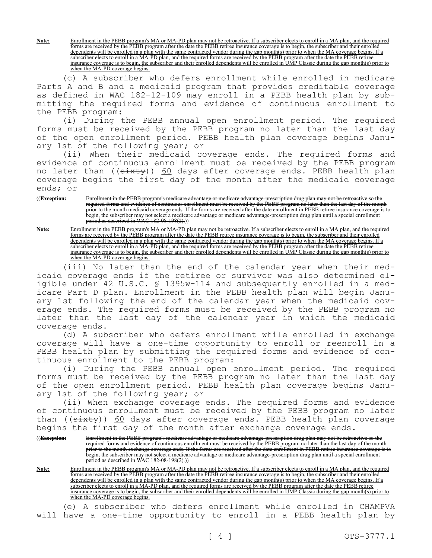**Note:** Enrollment in the PEBB program's MA or MA-PD plan may not be retroactive. If a subscriber elects to enroll in a MA plan, and the required forms are received by the PEBB program after the date the PEBB retiree insurance coverage is to begin, the subscriber and their enrolled dependents will be enrolled in a plan with the same contracted vendor during the gap month(s) prior to when the MA coverage begins. If a subscriber elects to enroll in a MA-PD plan, and the required forms are received by the PEBB program after the date the PEBB retiree insurance coverage is to begin, the subscriber and their enrolled dependents will be enrolled in UMP Classic during the gap month(s) prior to when the MA-PD coverage begins.

(c) A subscriber who defers enrollment while enrolled in medicare Parts A and B and a medicaid program that provides creditable coverage as defined in WAC 182-12-109 may enroll in a PEBB health plan by submitting the required forms and evidence of continuous enrollment to the PEBB program:

(i) During the PEBB annual open enrollment period. The required forms must be received by the PEBB program no later than the last day of the open enrollment period. PEBB health plan coverage begins January 1st of the following year; or

(ii) When their medicaid coverage ends. The required forms and evidence of continuous enrollment must be received by the PEBB program no later than ((<del>sixty</del>)) <u>60</u> days after coverage ends. PEBB health plan coverage begins the first day of the month after the medicaid coverage ends; or

((**Exception:** Enrollment in the PEBB program's medicare advantage or medicare advantage-prescription drug plan may not be retroactive so the required forms and evidence of continuous enrollment must be received by the PEBB program no later than the last day of the month prior to the month medicaid coverage ends. If the forms are received after the date enrollment in PEBB retiree insurance coverage is to begin, the subscriber may not select a medicare advantage or medicare advantage-prescription drug plan until a special enrollment period as described in WAC 182-08-198(2).))

**Note:** Enrollment in the PEBB program's MA or MA-PD plan may not be retroactive. If a subscriber elects to enroll in a MA plan, and the required forms are received by the PEBB program after the date the PEBB retiree insurance coverage is to begin, the subscriber and their enrolled dependents will be enrolled in a plan with the same contracted vendor during the gap month(s) prior to when the MA coverage begins. If a subscriber elects to enroll in a MA-PD plan, and the required forms are received by the PEBB program after the date the PEBB retiree insurance coverage is to begin, the subscriber and their enrolled dependents will be enrolled in UMP Classic during the gap month(s) prior to when the MA-PD coverage begins.

(iii) No later than the end of the calendar year when their medicaid coverage ends if the retiree or survivor was also determined eligible under 42 U.S.C. § 1395w-114 and subsequently enrolled in a medicare Part D plan. Enrollment in the PEBB health plan will begin January 1st following the end of the calendar year when the medicaid coverage ends. The required forms must be received by the PEBB program no later than the last day of the calendar year in which the medicaid coverage ends.

(d) A subscriber who defers enrollment while enrolled in exchange coverage will have a one-time opportunity to enroll or reenroll in a PEBB health plan by submitting the required forms and evidence of continuous enrollment to the PEBB program:

(i) During the PEBB annual open enrollment period. The required forms must be received by the PEBB program no later than the last day of the open enrollment period. PEBB health plan coverage begins January 1st of the following year; or

(ii) When exchange coverage ends. The required forms and evidence of continuous enrollment must be received by the PEBB program no later than ((sixty)) 60 days after coverage ends. PEBB health plan coverage begins the first day of the month after exchange coverage ends.

((**Exception:** Enrollment in the PEBB program's medicare advantage or medicare advantage-prescription drug plan may not be retroactive so the required forms and evidence of continuous enrollment must be received by the PEBB program no later than the last day of the month prior to the month exchange coverage ends. If the forms are received after the date enrollment in PEBB retiree insurance coverage is to begin, the subscriber may not select a medicare advantage or medicare advantage-prescription drug plan until a special enrollment period as described in WAC 182-08-198(2).))

**Note:** Enrollment in the PEBB program's MA or MA-PD plan may not be retroactive. If a subscriber elects to enroll in a MA plan, and the required forms are received by the PEBB program after the date the PEBB retiree insurance coverage is to begin, the subscriber and their enrolled dependents will be enrolled in a plan with the same contracted vendor during the gap month(s) prior to when the MA coverage begins. If a subscriber elects to enroll in a MA-PD plan, and the required forms are received by the PEBB program after the date the PEBB retiree insurance coverage is to begin, the subscriber and their enrolled dependents will be enrolled in UMP Classic during the gap month(s) prior to when the MA-PD coverage begins.

(e) A subscriber who defers enrollment while enrolled in CHAMPVA will have a one-time opportunity to enroll in a PEBB health plan by